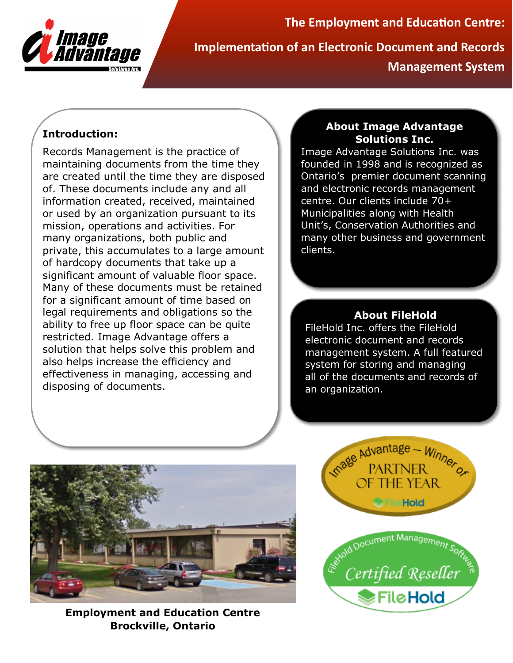

**The Employment and Education Centre: Implementation of an Electronic Document and Records Management System**

# **Introduction:**

Records Management is the practice of maintaining documents from the time they are created until the time they are disposed of. These documents include any and all information created, received, maintained or used by an organization pursuant to its mission, operations and activities. For many organizations, both public and private, this accumulates to a large amount of hardcopy documents that take up a significant amount of valuable floor space. Many of these documents must be retained for a significant amount of time based on legal requirements and obligations so the ability to free up floor space can be quite restricted. Image Advantage offers a solution that helps solve this problem and also helps increase the efficiency and effectiveness in managing, accessing and disposing of documents.

## **About Image Advantage Solutions Inc.**

Image Advantage Solutions Inc. was founded in 1998 and is recognized as Ontario's premier document scanning and electronic records management centre. Our clients include 70+ Municipalities along with Health Unit's, Conservation Authorities and many other business and government clients.

# **About FileHold**

FileHold Inc. offers the FileHold electronic document and records management system. A full featured system for storing and managing all of the documents and records of an organization.



**Employment and Education Centre Brockville, Ontario**

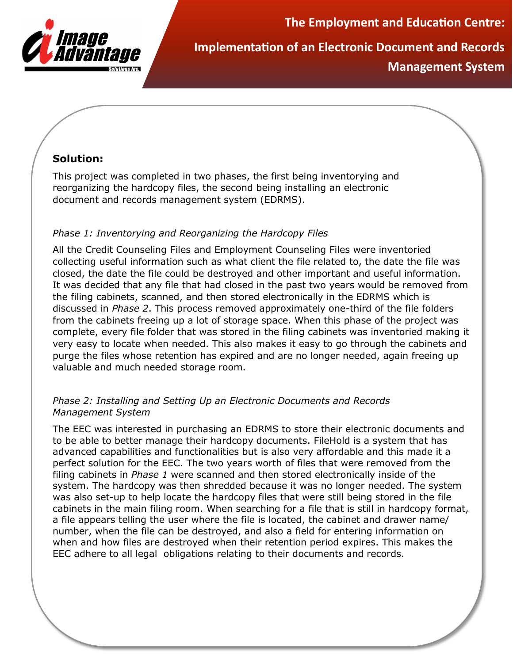

**The Employment and Education Centre:**

**Implementation of an Electronic Document and Records Management System**

## **Solution:**

This project was completed in two phases, the first being inventorying and reorganizing the hardcopy files, the second being installing an electronic document and records management system (EDRMS).

#### *Phase 1: Inventorying and Reorganizing the Hardcopy Files*

All the Credit Counseling Files and Employment Counseling Files were inventoried collecting useful information such as what client the file related to, the date the file was closed, the date the file could be destroyed and other important and useful information. It was decided that any file that had closed in the past two years would be removed from the filing cabinets, scanned, and then stored electronically in the EDRMS which is discussed in *Phase 2*. This process removed approximately one-third of the file folders from the cabinets freeing up a lot of storage space. When this phase of the project was complete, every file folder that was stored in the filing cabinets was inventoried making it very easy to locate when needed. This also makes it easy to go through the cabinets and purge the files whose retention has expired and are no longer needed, again freeing up valuable and much needed storage room.

#### *Phase 2: Installing and Setting Up an Electronic Documents and Records Management System*

The EEC was interested in purchasing an EDRMS to store their electronic documents and to be able to better manage their hardcopy documents. FileHold is a system that has advanced capabilities and functionalities but is also very affordable and this made it a perfect solution for the EEC. The two years worth of files that were removed from the filing cabinets in *Phase 1* were scanned and then stored electronically inside of the system. The hardcopy was then shredded because it was no longer needed. The system was also set-up to help locate the hardcopy files that were still being stored in the file cabinets in the main filing room. When searching for a file that is still in hardcopy format, a file appears telling the user where the file is located, the cabinet and drawer name/ number, when the file can be destroyed, and also a field for entering information on when and how files are destroyed when their retention period expires. This makes the EEC adhere to all legal obligations relating to their documents and records.